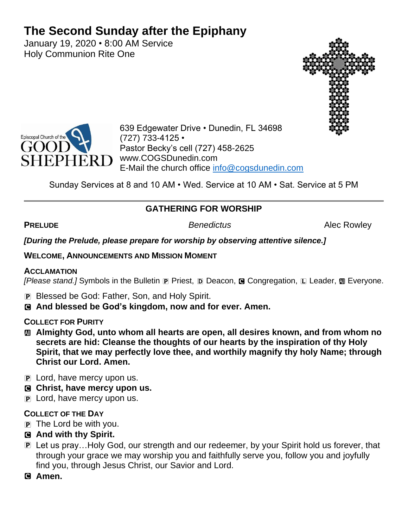## **The Second Sunday after the Epiphany**

January 19, 2020 • 8:00 AM Service Holy Communion Rite One





639 Edgewater Drive • Dunedin, FL 34698 (727) 733-4125 • Pastor Becky's cell (727) 458-2625 www.COGSDunedin.com E-Mail the church office [info@cogsdunedin.com](mailto:info@cogsdunedin.com)

Sunday Services at 8 and 10 AM • Wed. Service at 10 AM • Sat. Service at 5 PM

## **GATHERING FOR WORSHIP**

**PRELUDE** *Benedictus* **Benedictus Alec Rowley** 

*[During the Prelude, please prepare for worship by observing attentive silence.]*

**WELCOME, ANNOUNCEMENTS AND MISSION MOMENT**

#### **ACCLAMATION**

*[Please stand.]* Symbols in the Bulletin **P** Priest, **D** Deacon, **G** Congregation, **L** Leader, **M** Everyone.

- P Blessed be God: Father, Son, and Holy Spirit.
- C **And blessed be God's kingdom, now and for ever. Amen.**

## **COLLECT FOR PURITY**

- a **Almighty God, unto whom all hearts are open, all desires known, and from whom no secrets are hid: Cleanse the thoughts of our hearts by the inspiration of thy Holy Spirit, that we may perfectly love thee, and worthily magnify thy holy Name; through Christ our Lord. Amen.**
- **P** Lord, have mercy upon us.
- C **Christ, have mercy upon us.**
- P Lord, have mercy upon us.

## **COLLECT OF THE DAY**

- $\overline{P}$  The Lord be with you.
- C **And with thy Spirit.**
- P Let us pray…Holy God, our strength and our redeemer, by your Spirit hold us forever, that through your grace we may worship you and faithfully serve you, follow you and joyfully find you, through Jesus Christ, our Savior and Lord.
- C **Amen.**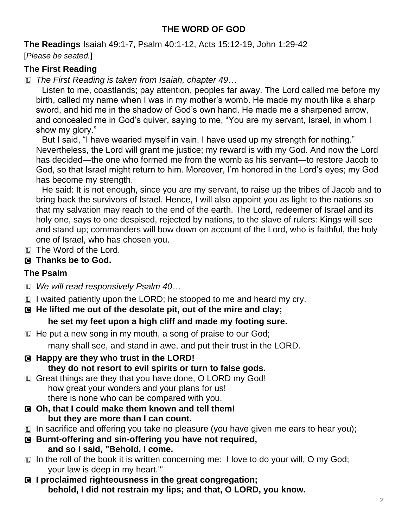## **THE WORD OF GOD**

#### **The Readings** Isaiah 49:1-7, Psalm 40:1-12, Acts 15:12-19, John 1:29-42

[*Please be seated.*]

## **The First Reading**

L *The First Reading is taken from Isaiah, chapter 49…*

Listen to me, coastlands; pay attention, peoples far away. The Lord called me before my birth, called my name when I was in my mother's womb. He made my mouth like a sharp sword, and hid me in the shadow of God's own hand. He made me a sharpened arrow, and concealed me in God's quiver, saying to me, "You are my servant, Israel, in whom I show my glory."

But I said, "I have wearied myself in vain. I have used up my strength for nothing." Nevertheless, the Lord will grant me justice; my reward is with my God. And now the Lord has decided—the one who formed me from the womb as his servant—to restore Jacob to God, so that Israel might return to him. Moreover, I'm honored in the Lord's eyes; my God has become my strength.

He said: It is not enough, since you are my servant, to raise up the tribes of Jacob and to bring back the survivors of Israel. Hence, I will also appoint you as light to the nations so that my salvation may reach to the end of the earth. The Lord, redeemer of Israel and its holy one, says to one despised, rejected by nations, to the slave of rulers: Kings will see and stand up; commanders will bow down on account of the Lord, who is faithful, the holy one of Israel, who has chosen you.

L The Word of the Lord.

## C **Thanks be to God.**

## **The Psalm**

- L *We will read responsively Psalm 40…*
- L I waited patiently upon the LORD; he stooped to me and heard my cry.
- C **He lifted me out of the desolate pit, out of the mire and clay;**

## **he set my feet upon a high cliff and made my footing sure.**

L He put a new song in my mouth, a song of praise to our God;

many shall see, and stand in awe, and put their trust in the LORD.

- C **Happy are they who trust in the LORD! they do not resort to evil spirits or turn to false gods.**
- L Great things are they that you have done, O LORD my God! how great your wonders and your plans for us! there is none who can be compared with you.
- C **Oh, that I could make them known and tell them! but they are more than I can count.**
- $\Box$  In sacrifice and offering you take no pleasure (you have given me ears to hear you);
- C **Burnt-offering and sin-offering you have not required, and so I said, "Behold, I come.**
- L In the roll of the book it is written concerning me: I love to do your will, O my God; your law is deep in my heart.'"
- C **I proclaimed righteousness in the great congregation; behold, I did not restrain my lips; and that, O LORD, you know.**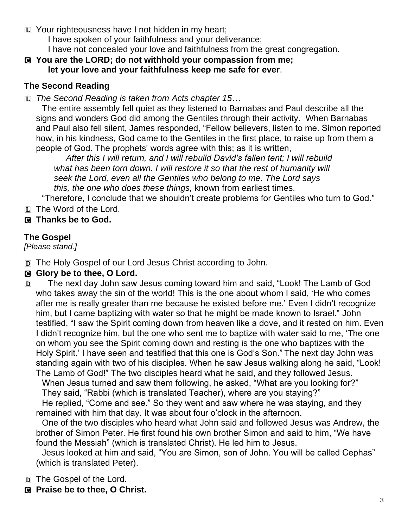L Your righteousness have I not hidden in my heart;

I have spoken of your faithfulness and your deliverance;

I have not concealed your love and faithfulness from the great congregation.

## C **You are the LORD; do not withhold your compassion from me;**

**let your love and your faithfulness keep me safe for ever**.

## **The Second Reading**

L *The Second Reading is taken from Acts chapter 15…*

The entire assembly fell quiet as they listened to Barnabas and Paul describe all the signs and wonders God did among the Gentiles through their activity. When Barnabas and Paul also fell silent, James responded, "Fellow believers, listen to me. Simon reported how, in his kindness, God came to the Gentiles in the first place, to raise up from them a people of God. The prophets' words agree with this; as it is written,

*After this I will return, and I will rebuild David's fallen tent; I will rebuild what has been torn down. I will restore it so that the rest of humanity will seek the Lord, even all the Gentiles who belong to me. The Lord says this, the one who does these things,* known from earliest times.

"Therefore, I conclude that we shouldn't create problems for Gentiles who turn to God."

 $\Box$  The Word of the Lord.

## C **Thanks be to God.**

## **The Gospel**

*[Please stand.]*

D The Holy Gospel of our Lord Jesus Christ according to John.

## G Glory be to thee, O Lord.

D The next day John saw Jesus coming toward him and said, "Look! The Lamb of God who takes away the sin of the world! This is the one about whom I said, 'He who comes after me is really greater than me because he existed before me.' Even I didn't recognize him, but I came baptizing with water so that he might be made known to Israel." John testified, "I saw the Spirit coming down from heaven like a dove, and it rested on him. Even I didn't recognize him, but the one who sent me to baptize with water said to me, 'The one on whom you see the Spirit coming down and resting is the one who baptizes with the Holy Spirit.' I have seen and testified that this one is God's Son." The next day John was standing again with two of his disciples. When he saw Jesus walking along he said, "Look! The Lamb of God!" The two disciples heard what he said, and they followed Jesus.

When Jesus turned and saw them following, he asked, "What are you looking for?"

They said, "Rabbi (which is translated Teacher), where are you staying?"

He replied, "Come and see." So they went and saw where he was staying, and they remained with him that day. It was about four o'clock in the afternoon.

One of the two disciples who heard what John said and followed Jesus was Andrew, the brother of Simon Peter. He first found his own brother Simon and said to him, "We have found the Messiah" (which is translated Christ). He led him to Jesus.

Jesus looked at him and said, "You are Simon, son of John. You will be called Cephas" (which is translated Peter).

D The Gospel of the Lord.

C **Praise be to thee, O Christ.**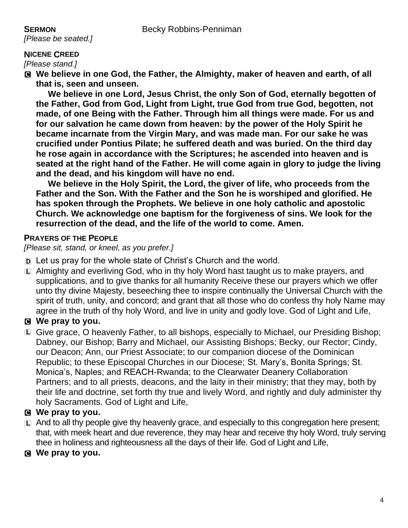# *[Please be seated.]*

#### **NICENE CREED**

*[Please stand.]*

C **We believe in one God, the Father, the Almighty, maker of heaven and earth, of all that is, seen and unseen.** 

**We believe in one Lord, Jesus Christ, the only Son of God, eternally begotten of the Father, God from God, Light from Light, true God from true God, begotten, not made, of one Being with the Father. Through him all things were made. For us and for our salvation he came down from heaven: by the power of the Holy Spirit he became incarnate from the Virgin Mary, and was made man. For our sake he was crucified under Pontius Pilate; he suffered death and was buried. On the third day he rose again in accordance with the Scriptures; he ascended into heaven and is seated at the right hand of the Father. He will come again in glory to judge the living and the dead, and his kingdom will have no end.**

**We believe in the Holy Spirit, the Lord, the giver of life, who proceeds from the Father and the Son. With the Father and the Son he is worshiped and glorified. He has spoken through the Prophets. We believe in one holy catholic and apostolic Church. We acknowledge one baptism for the forgiveness of sins. We look for the resurrection of the dead, and the life of the world to come. Amen.**

#### **PRAYERS OF THE PEOPLE**

*[Please sit, stand, or kneel, as you prefer.]*

- D Let us pray for the whole state of Christ's Church and the world.
- $\Box$  Almighty and everliving God, who in thy holy Word hast taught us to make prayers, and supplications, and to give thanks for all humanity Receive these our prayers which we offer unto thy divine Majesty, beseeching thee to inspire continually the Universal Church with the spirit of truth, unity, and concord; and grant that all those who do confess thy holy Name may agree in the truth of thy holy Word, and live in unity and godly love. God of Light and Life,

#### C **We pray to you.**

L Give grace, O heavenly Father, to all bishops, especially to Michael, our Presiding Bishop; Dabney, our Bishop; Barry and Michael, our Assisting Bishops; Becky, our Rector; Cindy, our Deacon; Ann, our Priest Associate; to our companion diocese of the Dominican Republic; to these Episcopal Churches in our Diocese; St. Mary's, Bonita Springs; St. Monica's, Naples; and REACH-Rwanda; to the Clearwater Deanery Collaboration Partners; and to all priests, deacons, and the laity in their ministry; that they may, both by their life and doctrine, set forth thy true and lively Word, and rightly and duly administer thy holy Sacraments. God of Light and Life,

#### C **We pray to you.**

- $\Box$  And to all thy people give thy heavenly grace, and especially to this congregation here present; that, with meek heart and due reverence, they may hear and receive thy holy Word, truly serving thee in holiness and righteousness all the days of their life. God of Light and Life,
- C **We pray to you.**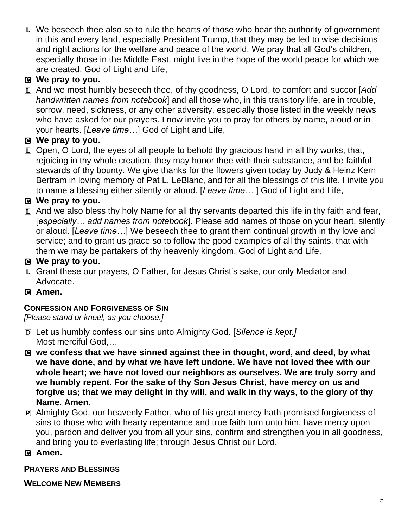$\Box$  We beseech thee also so to rule the hearts of those who bear the authority of government in this and every land, especially President Trump, that they may be led to wise decisions and right actions for the welfare and peace of the world. We pray that all God's children, especially those in the Middle East, might live in the hope of the world peace for which we are created. God of Light and Life,

## C **We pray to you.**

L And we most humbly beseech thee, of thy goodness, O Lord, to comfort and succor [*Add handwritten names from notebook*] and all those who, in this transitory life, are in trouble, sorrow, need, sickness, or any other adversity, especially those listed in the weekly news who have asked for our prayers. I now invite you to pray for others by name, aloud or in your hearts. [*Leave time…*] God of Light and Life,

## C **We pray to you.**

 $\Box$  Open, O Lord, the eyes of all people to behold thy gracious hand in all thy works, that, rejoicing in thy whole creation, they may honor thee with their substance, and be faithful stewards of thy bounty. We give thanks for the flowers given today by Judy & Heinz Kern Bertram in loving memory of Pat L. LeBlanc, and for all the blessings of this life. I invite you to name a blessing either silently or aloud. [*Leave time…* ] God of Light and Life,

## C **We pray to you.**

 $\Box$  And we also bless thy holy Name for all thy servants departed this life in thy faith and fear, [*especially… add names from notebook*]. Please add names of those on your heart, silently or aloud. [*Leave time…*] We beseech thee to grant them continual growth in thy love and service; and to grant us grace so to follow the good examples of all thy saints, that with them we may be partakers of thy heavenly kingdom. God of Light and Life,

## C **We pray to you.**

- L Grant these our prayers, O Father, for Jesus Christ's sake, our only Mediator and Advocate.
- C **Amen.**

## **CONFESSION AND FORGIVENESS OF SIN**

*[Please stand or kneel, as you choose.]*

- D Let us humbly confess our sins unto Almighty God. [*Silence is kept.]*  Most merciful God,*…*
- C **we confess that we have sinned against thee in thought, word, and deed, by what we have done, and by what we have left undone. We have not loved thee with our whole heart; we have not loved our neighbors as ourselves. We are truly sorry and we humbly repent. For the sake of thy Son Jesus Christ, have mercy on us and forgive us; that we may delight in thy will, and walk in thy ways, to the glory of thy Name. Amen.**
- P Almighty God, our heavenly Father, who of his great mercy hath promised forgiveness of sins to those who with hearty repentance and true faith turn unto him, have mercy upon you, pardon and deliver you from all your sins, confirm and strengthen you in all goodness, and bring you to everlasting life; through Jesus Christ our Lord.
- C **Amen.**

## **PRAYERS AND BLESSINGS**

**WELCOME NEW MEMBERS**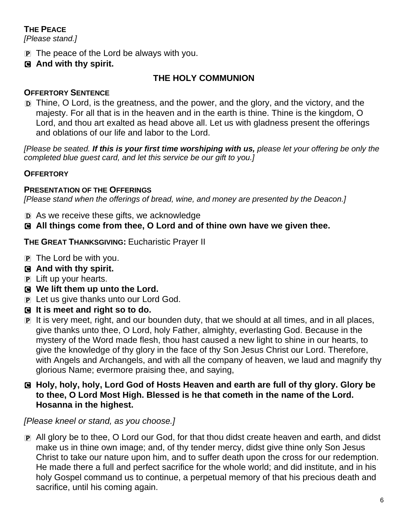## **THE PEACE**

*[Please stand.]*

- P The peace of the Lord be always with you.
- C **And with thy spirit.**

## **THE HOLY COMMUNION**

## **OFFERTORY SENTENCE**

D Thine, O Lord, is the greatness, and the power, and the glory, and the victory, and the majesty. For all that is in the heaven and in the earth is thine. Thine is the kingdom, O Lord, and thou art exalted as head above all. Let us with gladness present the offerings and oblations of our life and labor to the Lord.

*[Please be seated. If this is your first time worshiping with us, please let your offering be only the completed blue guest card, and let this service be our gift to you.]*

## **OFFERTORY**

#### **PRESENTATION OF THE OFFERINGS**

*[Please stand when the offerings of bread, wine, and money are presented by the Deacon.]*

D As we receive these gifts, we acknowledge

## C **All things come from thee, O Lord and of thine own have we given thee.**

**THE GREAT THANKSGIVING:** Eucharistic Prayer II

- $\overline{P}$  The Lord be with you.
- C **And with thy spirit.**
- P Lift up your hearts.
- C **We lift them up unto the Lord.**
- P Let us give thanks unto our Lord God.
- C **It is meet and right so to do.**
- P It is very meet, right, and our bounden duty, that we should at all times, and in all places, give thanks unto thee, O Lord, holy Father, almighty, everlasting God. Because in the mystery of the Word made flesh, thou hast caused a new light to shine in our hearts, to give the knowledge of thy glory in the face of thy Son Jesus Christ our Lord. Therefore, with Angels and Archangels, and with all the company of heaven, we laud and magnify thy glorious Name; evermore praising thee, and saying,
- C **Holy, holy, holy, Lord God of Hosts Heaven and earth are full of thy glory. Glory be to thee, O Lord Most High. Blessed is he that cometh in the name of the Lord. Hosanna in the highest.**

*[Please kneel or stand, as you choose.]*

P All glory be to thee, O Lord our God, for that thou didst create heaven and earth, and didst make us in thine own image; and, of thy tender mercy, didst give thine only Son Jesus Christ to take our nature upon him, and to suffer death upon the cross for our redemption. He made there a full and perfect sacrifice for the whole world; and did institute, and in his holy Gospel command us to continue, a perpetual memory of that his precious death and sacrifice, until his coming again.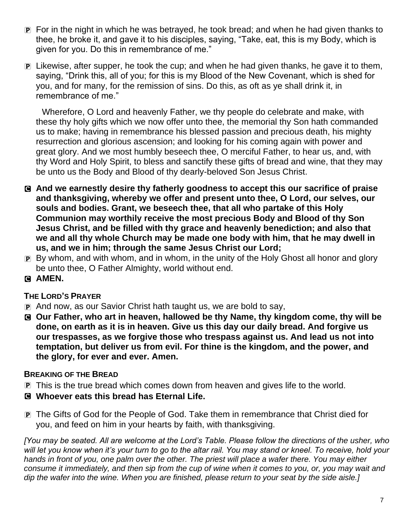- P For in the night in which he was betrayed, he took bread; and when he had given thanks to thee, he broke it, and gave it to his disciples, saying, "Take, eat, this is my Body, which is given for you. Do this in remembrance of me."
- P Likewise, after supper, he took the cup; and when he had given thanks, he gave it to them, saying, "Drink this, all of you; for this is my Blood of the New Covenant, which is shed for you, and for many, for the remission of sins. Do this, as oft as ye shall drink it, in remembrance of me."

Wherefore, O Lord and heavenly Father, we thy people do celebrate and make, with these thy holy gifts which we now offer unto thee, the memorial thy Son hath commanded us to make; having in remembrance his blessed passion and precious death, his mighty resurrection and glorious ascension; and looking for his coming again with power and great glory. And we most humbly beseech thee, O merciful Father, to hear us, and, with thy Word and Holy Spirit, to bless and sanctify these gifts of bread and wine, that they may be unto us the Body and Blood of thy dearly-beloved Son Jesus Christ.

- C **And we earnestly desire thy fatherly goodness to accept this our sacrifice of praise and thanksgiving, whereby we offer and present unto thee, O Lord, our selves, our souls and bodies. Grant, we beseech thee, that all who partake of this Holy Communion may worthily receive the most precious Body and Blood of thy Son Jesus Christ, and be filled with thy grace and heavenly benediction; and also that we and all thy whole Church may be made one body with him, that he may dwell in us, and we in him; through the same Jesus Christ our Lord;**
- P By whom, and with whom, and in whom, in the unity of the Holy Ghost all honor and glory be unto thee, O Father Almighty, world without end.
- C **AMEN.**

## **THE LORD'S PRAYER**

- P And now, as our Savior Christ hath taught us, we are bold to say,
- C **Our Father, who art in heaven, hallowed be thy Name, thy kingdom come, thy will be done, on earth as it is in heaven. Give us this day our daily bread. And forgive us our trespasses, as we forgive those who trespass against us. And lead us not into temptation, but deliver us from evil. For thine is the kingdom, and the power, and the glory, for ever and ever. Amen.**

#### **BREAKING OF THE BREAD**

- P This is the true bread which comes down from heaven and gives life to the world.
- C **Whoever eats this bread has Eternal Life.**
- P The Gifts of God for the People of God. Take them in remembrance that Christ died for you, and feed on him in your hearts by faith, with thanksgiving.

*[You may be seated. All are welcome at the Lord's Table. Please follow the directions of the usher, who will let you know when it's your turn to go to the altar rail. You may stand or kneel. To receive, hold your hands in front of you, one palm over the other. The priest will place a wafer there. You may either consume it immediately, and then sip from the cup of wine when it comes to you, or, you may wait and dip the wafer into the wine. When you are finished, please return to your seat by the side aisle.]*